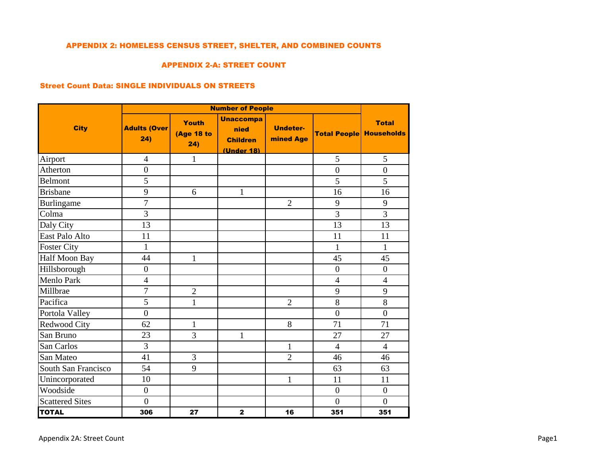### APPENDIX 2: HOMELESS CENSUS STREET, SHELTER, AND COMBINED COUNTS

#### APPENDIX 2-A: STREET COUNT

#### Street Count Data: SINGLE INDIVIDUALS ON STREETS

|                        |                            |                            | <b>Number of People</b>                                          |                              |                                |                  |
|------------------------|----------------------------|----------------------------|------------------------------------------------------------------|------------------------------|--------------------------------|------------------|
| <b>City</b>            | <b>Adults (Over</b><br>24) | Youth<br>(Age 18 to<br>24) | <b>Unaccompa</b><br>nied<br><b>Children</b><br><b>(Under 18)</b> | <b>Undeter-</b><br>mined Age | <b>Total People Households</b> | <b>Total</b>     |
| Airport                | $\overline{4}$             | 1                          |                                                                  |                              | 5                              | 5                |
| Atherton               | $\boldsymbol{0}$           |                            |                                                                  |                              | $\boldsymbol{0}$               | $\boldsymbol{0}$ |
| Belmont                | 5                          |                            |                                                                  |                              | 5                              | 5                |
| <b>Brisbane</b>        | 9                          | 6                          | $\mathbf{1}$                                                     |                              | 16                             | 16               |
| Burlingame             | 7                          |                            |                                                                  | $\overline{2}$               | 9                              | 9                |
| Colma                  | $\overline{3}$             |                            |                                                                  |                              | $\overline{3}$                 | $\overline{3}$   |
| Daly City              | 13                         |                            |                                                                  |                              | 13                             | 13               |
| East Palo Alto         | 11                         |                            |                                                                  |                              | 11                             | 11               |
| <b>Foster City</b>     | $\mathbf{1}$               |                            |                                                                  |                              | $\mathbf{1}$                   | $\mathbf{1}$     |
| Half Moon Bay          | 44                         | $\mathbf{1}$               |                                                                  |                              | 45                             | 45               |
| Hillsborough           | $\boldsymbol{0}$           |                            |                                                                  |                              | $\boldsymbol{0}$               | $\boldsymbol{0}$ |
| <b>Menlo Park</b>      | $\overline{4}$             |                            |                                                                  |                              | $\overline{4}$                 | $\overline{4}$   |
| Millbrae               | $\overline{7}$             | $\overline{2}$             |                                                                  |                              | 9                              | 9                |
| Pacifica               | 5                          | $\mathbf{1}$               |                                                                  | $\overline{2}$               | 8                              | 8                |
| Portola Valley         | $\overline{0}$             |                            |                                                                  |                              | $\overline{0}$                 | $\overline{0}$   |
| Redwood City           | 62                         | $\mathbf{1}$               |                                                                  | 8                            | 71                             | 71               |
| San Bruno              | 23                         | $\overline{3}$             | $\mathbf{1}$                                                     |                              | 27                             | 27               |
| San Carlos             | 3                          |                            |                                                                  | $\mathbf{1}$                 | $\overline{4}$                 | $\overline{4}$   |
| San Mateo              | 41                         | 3                          |                                                                  | $\overline{2}$               | 46                             | 46               |
| South San Francisco    | 54                         | 9                          |                                                                  |                              | 63                             | 63               |
| Unincorporated         | 10                         |                            |                                                                  | $\mathbf{1}$                 | 11                             | 11               |
| Woodside               | $\boldsymbol{0}$           |                            |                                                                  |                              | $\boldsymbol{0}$               | $\boldsymbol{0}$ |
| <b>Scattered Sites</b> | $\overline{0}$             |                            |                                                                  |                              | $\overline{0}$                 | $\overline{0}$   |
| <b>TOTAL</b>           | 306                        | 27                         | $\mathbf{2}$                                                     | 16                           | 351                            | 351              |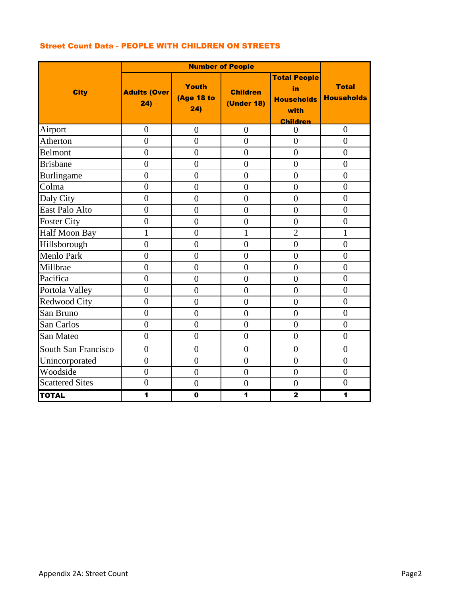### Street Count Data - PEOPLE WITH CHILDREN ON STREETS

|                        |                            |                                   | <b>Number of People</b>              |                                                                           |                                   |
|------------------------|----------------------------|-----------------------------------|--------------------------------------|---------------------------------------------------------------------------|-----------------------------------|
| <b>City</b>            | <b>Adults (Over</b><br>24) | <b>Youth</b><br>(Age 18 to<br>24) | <b>Children</b><br><b>(Under 18)</b> | <b>Total People</b><br>in<br><b>Households</b><br>with<br><b>Children</b> | <b>Total</b><br><b>Households</b> |
| Airport                | $\overline{0}$             | $\theta$                          | $\overline{0}$                       | $\Omega$                                                                  | $\overline{0}$                    |
| Atherton               | $\overline{0}$             | $\overline{0}$                    | $\overline{0}$                       | $\overline{0}$                                                            | $\theta$                          |
| Belmont                | $\overline{0}$             | $\overline{0}$                    | $\overline{0}$                       | $\overline{0}$                                                            | $\overline{0}$                    |
| <b>Brisbane</b>        | $\overline{0}$             | $\overline{0}$                    | $\overline{0}$                       | $\overline{0}$                                                            | $\overline{0}$                    |
| <b>Burlingame</b>      | $\overline{0}$             | $\overline{0}$                    | $\overline{0}$                       | $\overline{0}$                                                            | $\theta$                          |
| Colma                  | $\overline{0}$             | $\overline{0}$                    | $\overline{0}$                       | $\overline{0}$                                                            | $\overline{0}$                    |
| Daly City              | $\overline{0}$             | $\overline{0}$                    | $\overline{0}$                       | $\overline{0}$                                                            | $\overline{0}$                    |
| East Palo Alto         | $\overline{0}$             | $\overline{0}$                    | $\overline{0}$                       | $\overline{0}$                                                            | $\overline{0}$                    |
| <b>Foster City</b>     | $\overline{0}$             | $\overline{0}$                    | $\overline{0}$                       | $\overline{0}$                                                            | $\overline{0}$                    |
| Half Moon Bay          | $\mathbf{1}$               | $\overline{0}$                    | $\mathbf{1}$                         | $\overline{2}$                                                            | $\mathbf{1}$                      |
| Hillsborough           | $\overline{0}$             | $\overline{0}$                    | $\overline{0}$                       | $\overline{0}$                                                            | $\overline{0}$                    |
| Menlo Park             | $\overline{0}$             | $\overline{0}$                    | $\overline{0}$                       | $\overline{0}$                                                            | $\overline{0}$                    |
| Millbrae               | $\overline{0}$             | $\overline{0}$                    | $\overline{0}$                       | $\overline{0}$                                                            | $\theta$                          |
| Pacifica               | $\overline{0}$             | $\overline{0}$                    | $\overline{0}$                       | $\overline{0}$                                                            | $\overline{0}$                    |
| Portola Valley         | $\overline{0}$             | $\theta$                          | $\overline{0}$                       | $\overline{0}$                                                            | $\theta$                          |
| Redwood City           | $\overline{0}$             | $\overline{0}$                    | $\overline{0}$                       | $\overline{0}$                                                            | $\overline{0}$                    |
| San Bruno              | $\overline{0}$             | $\theta$                          | $\theta$                             | $\overline{0}$                                                            | $\theta$                          |
| San Carlos             | $\overline{0}$             | $\overline{0}$                    | $\overline{0}$                       | $\overline{0}$                                                            | $\overline{0}$                    |
| San Mateo              | $\overline{0}$             | $\overline{0}$                    | $\overline{0}$                       | $\overline{0}$                                                            | $\overline{0}$                    |
| South San Francisco    | $\overline{0}$             | $\overline{0}$                    | $\overline{0}$                       | $\overline{0}$                                                            | $\theta$                          |
| Unincorporated         | $\overline{0}$             | $\overline{0}$                    | $\overline{0}$                       | $\overline{0}$                                                            | $\overline{0}$                    |
| Woodside               | $\overline{0}$             | $\overline{0}$                    | $\overline{0}$                       | $\overline{0}$                                                            | $\overline{0}$                    |
| <b>Scattered Sites</b> | $\overline{0}$             | $\overline{0}$                    | $\overline{0}$                       | $\overline{0}$                                                            | $\overline{0}$                    |
| <b>TOTAL</b>           | 1                          | $\mathbf 0$                       | 1                                    | $\overline{\mathbf{2}}$                                                   | 1                                 |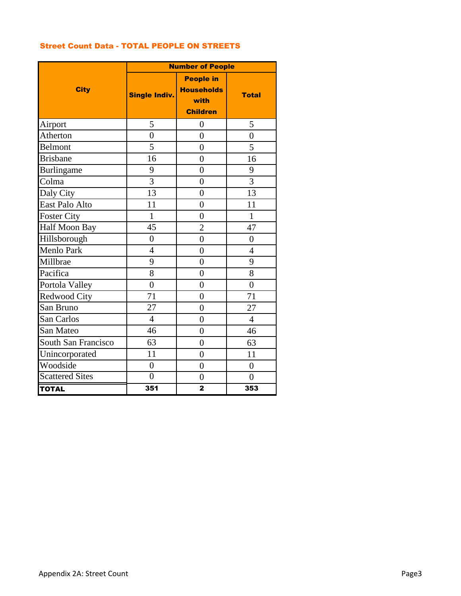# Street Count Data - TOTAL PEOPLE ON STREETS

|                        |                      | <b>Number of People</b>                                          |                |
|------------------------|----------------------|------------------------------------------------------------------|----------------|
| <b>City</b>            | <b>Single Indiv.</b> | <b>People in</b><br><b>Households</b><br>with<br><b>Children</b> | <b>Total</b>   |
| Airport                | 5                    | $\overline{0}$                                                   | 5              |
| Atherton               | $\overline{0}$       | $\overline{0}$                                                   | $\overline{0}$ |
| Belmont                | $\overline{5}$       | $\overline{0}$                                                   | 5              |
| <b>Brisbane</b>        | 16                   | $\overline{0}$                                                   | 16             |
| <b>Burlingame</b>      | 9                    | $\overline{0}$                                                   | 9              |
| Colma                  | $\overline{3}$       | $\overline{0}$                                                   | 3              |
| Daly City              | 13                   | $\overline{0}$                                                   | 13             |
| East Palo Alto         | 11                   | $\overline{0}$                                                   | 11             |
| <b>Foster City</b>     | $\mathbf{1}$         | $\overline{0}$                                                   | $\mathbf{1}$   |
| Half Moon Bay          | 45                   | $\overline{2}$                                                   | 47             |
| Hillsborough           | $\overline{0}$       | $\overline{0}$                                                   | $\overline{0}$ |
| Menlo Park             | $\overline{4}$       | $\overline{0}$                                                   | $\overline{4}$ |
| Millbrae               | 9                    | $\overline{0}$                                                   | 9              |
| Pacifica               | 8                    | $\overline{0}$                                                   | 8              |
| Portola Valley         | $\overline{0}$       | $\overline{0}$                                                   | $\overline{0}$ |
| Redwood City           | 71                   | $\overline{0}$                                                   | 71             |
| San Bruno              | 27                   | $\overline{0}$                                                   | 27             |
| San Carlos             | $\overline{4}$       | $\overline{0}$                                                   | $\overline{4}$ |
| San Mateo              | 46                   | $\overline{0}$                                                   | 46             |
| South San Francisco    | 63                   | $\overline{0}$                                                   | 63             |
| Unincorporated         | 11                   | $\overline{0}$                                                   | 11             |
| Woodside               | $\overline{0}$       | $\overline{0}$                                                   | $\overline{0}$ |
| <b>Scattered Sites</b> | $\overline{0}$       | $\overline{0}$                                                   | $\overline{0}$ |
| <b>TOTAL</b>           | 351                  | $\overline{\mathbf{2}}$                                          | 353            |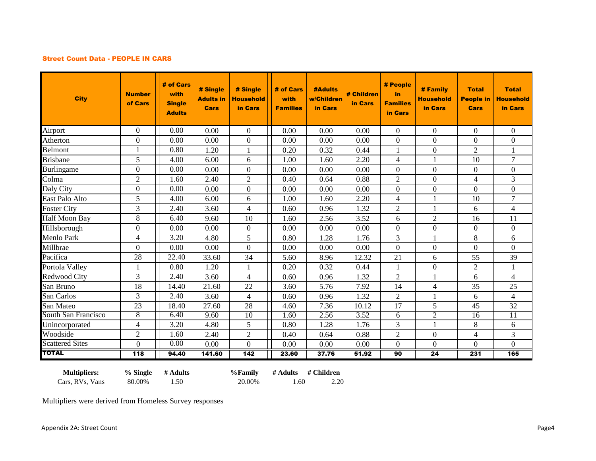#### Street Count Data - PEOPLE IN CARS

| <b>City</b>            | <b>Number</b><br>of Cars | # of Cars<br>with<br><b>Single</b><br><b>Adults</b> | # Single<br><b>Adults in</b><br><b>Cars</b> | # Single<br><b>Household</b><br>in Cars | # of Cars<br>with<br><b>Families</b> | <b>#Adults</b><br>w/Children<br>in Cars | # Children<br>in Cars | # People<br>in<br><b>Families</b><br>in Cars | # Family<br><b>Household</b><br>in Cars | <b>Total</b><br><b>People in</b><br><b>Cars</b> | <b>Total</b><br><b>Household</b><br>in Cars |
|------------------------|--------------------------|-----------------------------------------------------|---------------------------------------------|-----------------------------------------|--------------------------------------|-----------------------------------------|-----------------------|----------------------------------------------|-----------------------------------------|-------------------------------------------------|---------------------------------------------|
| Airport                | $\overline{0}$           | 0.00                                                | 0.00                                        | $\mathbf{0}$                            | 0.00                                 | 0.00                                    | 0.00                  | $\mathbf{0}$                                 | $\mathbf{0}$                            | $\overline{0}$                                  | $\overline{0}$                              |
| Atherton               | $\overline{0}$           | 0.00                                                | 0.00                                        | $\overline{0}$                          | 0.00                                 | 0.00                                    | 0.00                  | $\mathbf{0}$                                 | $\Omega$                                | $\Omega$                                        | $\mathbf{0}$                                |
| <b>Belmont</b>         | $\mathbf{1}$             | 0.80                                                | 1.20                                        | $\mathbf{1}$                            | 0.20                                 | 0.32                                    | 0.44                  | 1                                            | $\mathbf{0}$                            | $\overline{c}$                                  | $\mathbf{1}$                                |
| <b>Brisbane</b>        | 5                        | 4.00                                                | 6.00                                        | 6                                       | 1.00                                 | 1.60                                    | 2.20                  | $\overline{4}$                               | 1                                       | 10                                              | $\overline{7}$                              |
| Burlingame             | $\mathbf{0}$             | 0.00                                                | 0.00                                        | $\Omega$                                | 0.00                                 | 0.00                                    | 0.00                  | $\mathbf{0}$                                 | $\theta$                                | $\Omega$                                        | $\mathbf{0}$                                |
| Colma                  | $\overline{2}$           | 1.60                                                | 2.40                                        | $\overline{c}$                          | 0.40                                 | 0.64                                    | 0.88                  | $\overline{2}$                               | $\mathbf{0}$                            | $\overline{4}$                                  | 3                                           |
| Daly City              | $\overline{0}$           | 0.00                                                | 0.00                                        | $\boldsymbol{0}$                        | 0.00                                 | 0.00                                    | 0.00                  | $\boldsymbol{0}$                             | $\mathbf{0}$                            | $\overline{0}$                                  | $\boldsymbol{0}$                            |
| East Palo Alto         | $\mathfrak{S}$           | 4.00                                                | 6.00                                        | 6                                       | 1.00                                 | 1.60                                    | 2.20                  | $\overline{4}$                               | 1                                       | 10                                              | $\overline{7}$                              |
| <b>Foster City</b>     | 3                        | 2.40                                                | 3.60                                        | $\overline{4}$                          | 0.60                                 | 0.96                                    | 1.32                  | $\mathfrak{2}$                               | $\mathbf{1}$                            | 6                                               | $\overline{4}$                              |
| <b>Half Moon Bay</b>   | 8                        | 6.40                                                | 9.60                                        | 10                                      | 1.60                                 | 2.56                                    | 3.52                  | 6                                            | 2                                       | 16                                              | 11                                          |
| Hillsborough           | $\mathbf{0}$             | 0.00                                                | 0.00                                        | $\boldsymbol{0}$                        | 0.00                                 | 0.00                                    | 0.00                  | $\overline{0}$                               | $\mathbf{0}$                            | $\boldsymbol{0}$                                | $\boldsymbol{0}$                            |
| <b>Menlo Park</b>      | $\overline{4}$           | 3.20                                                | 4.80                                        | 5                                       | 0.80                                 | 1.28                                    | 1.76                  | 3                                            | 1                                       | 8                                               | 6                                           |
| Millbrae               | $\Omega$                 | 0.00                                                | 0.00                                        | $\overline{0}$                          | 0.00                                 | 0.00                                    | 0.00                  | $\boldsymbol{0}$                             | $\boldsymbol{0}$                        | $\overline{0}$                                  | $\overline{0}$                              |
| Pacifica               | 28                       | 22.40                                               | 33.60                                       | 34                                      | 5.60                                 | 8.96                                    | 12.32                 | 21                                           | 6                                       | 55                                              | 39                                          |
| Portola Valley         | $\mathbf{1}$             | 0.80                                                | 1.20                                        | $\mathbf{1}$                            | 0.20                                 | 0.32                                    | 0.44                  | $\mathbf{1}$                                 | $\mathbf{0}$                            | $\overline{2}$                                  |                                             |
| <b>Redwood City</b>    | 3                        | 2.40                                                | 3.60                                        | $\overline{4}$                          | 0.60                                 | 0.96                                    | 1.32                  | $\overline{2}$                               | 1                                       | 6                                               | $\overline{4}$                              |
| San Bruno              | 18                       | 14.40                                               | 21.60                                       | 22                                      | 3.60                                 | 5.76                                    | 7.92                  | 14                                           | $\overline{4}$                          | 35                                              | 25                                          |
| San Carlos             | 3                        | 2.40                                                | 3.60                                        | 4                                       | 0.60                                 | 0.96                                    | 1.32                  | $\overline{2}$                               | 1                                       | 6                                               | $\overline{4}$                              |
| San Mateo              | 23                       | 18.40                                               | 27.60                                       | 28                                      | 4.60                                 | 7.36                                    | 10.12                 | 17                                           | 5                                       | 45                                              | 32                                          |
| South San Francisco    | 8                        | 6.40                                                | 9.60                                        | 10                                      | 1.60                                 | 2.56                                    | 3.52                  | 6                                            | $\overline{2}$                          | 16                                              | $\overline{11}$                             |
| Unincorporated         | $\overline{4}$           | 3.20                                                | 4.80                                        | 5                                       | 0.80                                 | 1.28                                    | 1.76                  | 3                                            | 1                                       | 8                                               | 6                                           |
| Woodside               | $\overline{2}$           | 1.60                                                | 2.40                                        | $\mathfrak{2}$                          | 0.40                                 | 0.64                                    | 0.88                  | $\mathbf{2}$                                 | $\boldsymbol{0}$                        | $\overline{4}$                                  | 3                                           |
| <b>Scattered Sites</b> | $\theta$                 | 0.00                                                | 0.00                                        | $\mathbf{0}$                            | 0.00                                 | 0.00                                    | 0.00                  | $\mathbf{0}$                                 | $\mathbf{0}$                            | $\theta$                                        | $\overline{0}$                              |
| <b>TOTAL</b>           | 118                      | 94.40                                               | 141.60                                      | 142                                     | 23.60                                | 37.76                                   | 51.92                 | 90                                           | 24                                      | 231                                             | 165                                         |

**Multipliers: % Single # Adults %Family # Adults # Children**

Cars, RVs, Vans 80.00% 1.50 20.00% 1.60 2.20

Multipliers were derived from Homeless Survey responses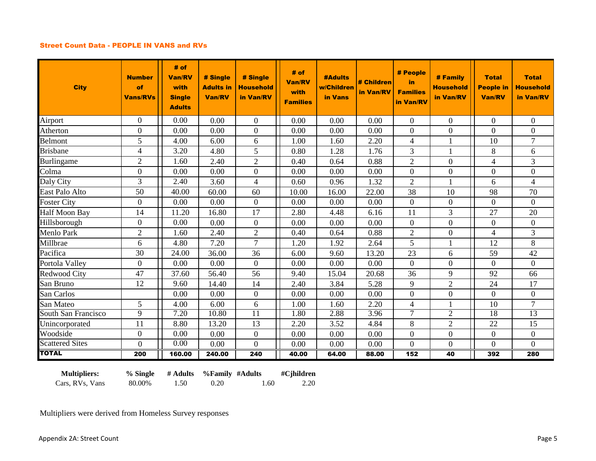#### Street Count Data - PEOPLE IN VANS and RVs

| <b>City</b>            | <b>Number</b><br>of<br><b>Vans/RVs</b> | # of<br><b>Van/RV</b><br>with<br><b>Single</b><br><b>Adults</b> | # Single<br><b>Adults in</b><br><b>Van/RV</b> | # Single<br><b>Household</b><br>in Van/RV | # of<br><b>Van/RV</b><br>with<br><b>Families</b> | <b>#Adults</b><br>w/Children<br>in Vans | # Children<br>in Van/RV | # People<br>in<br><b>Families</b><br>in Van/RV | <b># Family</b><br><b>Household</b><br>in Van/RV | <b>Total</b><br><b>People in</b><br><b>Van/RV</b> | <b>Total</b><br><b>Household</b><br>in Van/RV |
|------------------------|----------------------------------------|-----------------------------------------------------------------|-----------------------------------------------|-------------------------------------------|--------------------------------------------------|-----------------------------------------|-------------------------|------------------------------------------------|--------------------------------------------------|---------------------------------------------------|-----------------------------------------------|
| Airport                | $\Omega$                               | 0.00                                                            | 0.00                                          | $\Omega$                                  | 0.00                                             | 0.00                                    | 0.00                    | $\Omega$                                       | $\Omega$                                         | $\mathbf{0}$                                      | $\Omega$                                      |
| Atherton               | $\mathbf{0}$                           | 0.00                                                            | 0.00                                          | $\mathbf{0}$                              | 0.00                                             | 0.00                                    | 0.00                    | $\overline{0}$                                 | $\overline{0}$                                   | $\overline{0}$                                    | $\overline{0}$                                |
| <b>Belmont</b>         | 5                                      | 4.00                                                            | 6.00                                          | 6                                         | 1.00                                             | 1.60                                    | 2.20                    | $\overline{4}$                                 |                                                  | 10                                                | 7                                             |
| <b>Brisbane</b>        | $\overline{4}$                         | 3.20                                                            | 4.80                                          | 5                                         | 0.80                                             | 1.28                                    | 1.76                    | 3                                              | $\mathbf{1}$                                     | 8                                                 | 6                                             |
| Burlingame             | $\overline{2}$                         | 1.60                                                            | 2.40                                          | $\overline{2}$                            | 0.40                                             | 0.64                                    | 0.88                    | $\overline{2}$                                 | $\overline{0}$                                   | 4                                                 | 3                                             |
| Colma                  | $\theta$                               | 0.00                                                            | 0.00                                          | $\mathbf{0}$                              | 0.00                                             | 0.00                                    | 0.00                    | $\overline{0}$                                 | $\boldsymbol{0}$                                 | $\mathbf{0}$                                      | $\overline{0}$                                |
| Daly City              | 3                                      | 2.40                                                            | 3.60                                          | $\overline{4}$                            | 0.60                                             | 0.96                                    | 1.32                    | $\overline{2}$                                 |                                                  | 6                                                 | 4                                             |
| East Palo Alto         | 50                                     | 40.00                                                           | 60.00                                         | 60                                        | 10.00                                            | 16.00                                   | 22.00                   | 38                                             | 10                                               | 98                                                | 70                                            |
| <b>Foster City</b>     | $\overline{0}$                         | 0.00                                                            | 0.00                                          | $\overline{0}$                            | 0.00                                             | 0.00                                    | 0.00                    | $\overline{0}$                                 | $\Omega$                                         | $\mathbf{0}$                                      | $\overline{0}$                                |
| Half Moon Bay          | 14                                     | 11.20                                                           | 16.80                                         | 17                                        | 2.80                                             | 4.48                                    | 6.16                    | 11                                             | 3                                                | 27                                                | 20                                            |
| Hillsborough           | $\mathbf{0}$                           | 0.00                                                            | 0.00                                          | $\boldsymbol{0}$                          | 0.00                                             | 0.00                                    | 0.00                    | $\overline{0}$                                 | $\boldsymbol{0}$                                 | $\mathbf{0}$                                      | $\boldsymbol{0}$                              |
| Menlo Park             | $\overline{2}$                         | 1.60                                                            | 2.40                                          | $\overline{2}$                            | 0.40                                             | 0.64                                    | 0.88                    | $\overline{2}$                                 | $\overline{0}$                                   | $\overline{4}$                                    | 3                                             |
| Millbrae               | 6                                      | 4.80                                                            | 7.20                                          | $\overline{7}$                            | 1.20                                             | 1.92                                    | 2.64                    | 5                                              |                                                  | 12                                                | 8                                             |
| Pacifica               | 30                                     | 24.00                                                           | 36.00                                         | 36                                        | 6.00                                             | 9.60                                    | 13.20                   | 23                                             | 6                                                | 59                                                | 42                                            |
| Portola Valley         | $\mathbf{0}$                           | 0.00                                                            | 0.00                                          | $\boldsymbol{0}$                          | 0.00                                             | 0.00                                    | 0.00                    | $\overline{0}$                                 | $\boldsymbol{0}$                                 | $\mathbf{0}$                                      | $\boldsymbol{0}$                              |
| Redwood City           | 47                                     | 37.60                                                           | 56.40                                         | 56                                        | 9.40                                             | 15.04                                   | 20.68                   | 36                                             | 9                                                | 92                                                | 66                                            |
| San Bruno              | 12                                     | 9.60                                                            | 14.40                                         | 14                                        | 2.40                                             | 3.84                                    | 5.28                    | 9                                              | $\overline{2}$                                   | 24                                                | 17                                            |
| San Carlos             |                                        | 0.00                                                            | 0.00                                          | $\overline{0}$                            | 0.00                                             | 0.00                                    | 0.00                    | $\boldsymbol{0}$                               | $\boldsymbol{0}$                                 | $\mathbf{0}$                                      | $\mathbf{0}$                                  |
| San Mateo              | 5                                      | 4.00                                                            | 6.00                                          | 6                                         | 1.00                                             | 1.60                                    | 2.20                    | 4                                              |                                                  | 10                                                | $\overline{7}$                                |
| South San Francisco    | $\overline{9}$                         | 7.20                                                            | 10.80                                         | $\overline{11}$                           | 1.80                                             | 2.88                                    | 3.96                    | $\tau$                                         | $\overline{2}$                                   | 18                                                | 13                                            |
| Unincorporated         | 11                                     | 8.80                                                            | 13.20                                         | 13                                        | 2.20                                             | 3.52                                    | 4.84                    | 8                                              | $\overline{2}$                                   | 22                                                | 15                                            |
| Woodside               | $\mathbf{0}$                           | 0.00                                                            | 0.00                                          | $\mathbf{0}$                              | 0.00                                             | 0.00                                    | 0.00                    | $\overline{0}$                                 | $\boldsymbol{0}$                                 | $\mathbf{0}$                                      | $\boldsymbol{0}$                              |
| <b>Scattered Sites</b> | $\mathbf{0}$                           | $\overline{0.00}$                                               | 0.00                                          | $\mathbf{0}$                              | 0.00                                             | 0.00                                    | 0.00                    | $\boldsymbol{0}$                               | $\boldsymbol{0}$                                 | $\mathbf{0}$                                      | $\boldsymbol{0}$                              |
| <b>TOTAL</b>           | 200                                    | 160.00                                                          | 240.00                                        | 240                                       | 40.00                                            | 64.00                                   | 88.00                   | 152                                            | 40                                               | 392                                               | 280                                           |

**Multipliers: % Single # Adults %Family #Adults #Cjhildren** Cars, RVs, Vans 80.00% 1.50 0.20 1.60 2.20

Multipliers were derived from Homeless Survey responses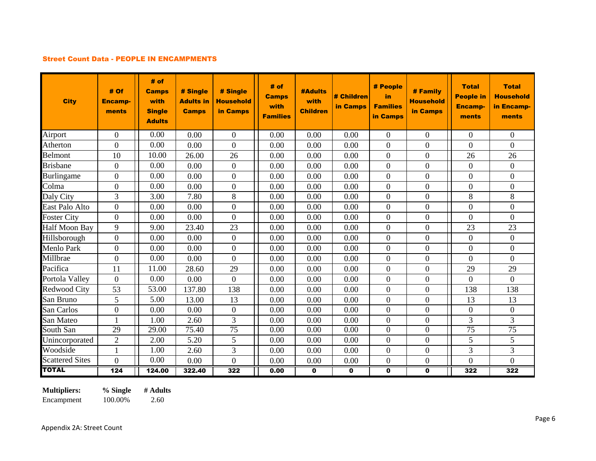#### Street Count Data - PEOPLE IN ENCAMPMENTS

| <b>City</b>            | # Of<br><b>Encamp-</b><br>ments | # of<br><b>Camps</b><br>with<br><b>Single</b><br><b>Adults</b> | # Single<br><b>Adults in</b><br><b>Camps</b> | # Single<br><b>Household</b><br>in Camps | # of<br><b>Camps</b><br>with<br><b>Families</b> | <b>#Adults</b><br>with<br><b>Children</b> | # Children<br>in Camps | # People<br>in<br><b>Families</b><br>in Camps | # Family<br>Household<br>in Camps | <b>Total</b><br><b>People in</b><br><b>Encamp-</b><br>ments | <b>Total</b><br><b>Household</b><br>in Encamp-<br>ments |
|------------------------|---------------------------------|----------------------------------------------------------------|----------------------------------------------|------------------------------------------|-------------------------------------------------|-------------------------------------------|------------------------|-----------------------------------------------|-----------------------------------|-------------------------------------------------------------|---------------------------------------------------------|
| Airport                | $\boldsymbol{0}$                | 0.00                                                           | 0.00                                         | $\overline{0}$                           | 0.00                                            | 0.00                                      | 0.00                   | $\boldsymbol{0}$                              | $\mathbf{0}$                      | $\overline{0}$                                              | $\overline{0}$                                          |
| Atherton               | $\boldsymbol{0}$                | 0.00                                                           | 0.00                                         | $\overline{0}$                           | 0.00                                            | 0.00                                      | 0.00                   | $\boldsymbol{0}$                              | $\overline{0}$                    | $\overline{0}$                                              | $\boldsymbol{0}$                                        |
| Belmont                | 10                              | 10.00                                                          | 26.00                                        | 26                                       | 0.00                                            | 0.00                                      | 0.00                   | $\boldsymbol{0}$                              | $\boldsymbol{0}$                  | 26                                                          | 26                                                      |
| <b>Brisbane</b>        | $\boldsymbol{0}$                | 0.00                                                           | 0.00                                         | $\overline{0}$                           | 0.00                                            | 0.00                                      | 0.00                   | $\boldsymbol{0}$                              | $\overline{0}$                    | $\overline{0}$                                              | $\boldsymbol{0}$                                        |
| Burlingame             | $\boldsymbol{0}$                | 0.00                                                           | 0.00                                         | $\overline{0}$                           | 0.00                                            | 0.00                                      | 0.00                   | $\boldsymbol{0}$                              | $\boldsymbol{0}$                  | $\overline{0}$                                              | $\boldsymbol{0}$                                        |
| Colma                  | $\overline{0}$                  | 0.00                                                           | 0.00                                         | $\overline{0}$                           | 0.00                                            | 0.00                                      | 0.00                   | $\boldsymbol{0}$                              | $\overline{0}$                    | $\overline{0}$                                              | $\boldsymbol{0}$                                        |
| Daly City              | 3                               | 3.00                                                           | 7.80                                         | 8                                        | 0.00                                            | 0.00                                      | 0.00                   | $\boldsymbol{0}$                              | $\boldsymbol{0}$                  | 8                                                           | 8                                                       |
| East Palo Alto         | $\overline{0}$                  | 0.00                                                           | 0.00                                         | $\overline{0}$                           | 0.00                                            | 0.00                                      | 0.00                   | $\overline{0}$                                | $\overline{0}$                    | $\boldsymbol{0}$                                            | $\overline{0}$                                          |
| <b>Foster City</b>     | $\overline{0}$                  | 0.00                                                           | 0.00                                         | $\overline{0}$                           | 0.00                                            | 0.00                                      | 0.00                   | $\boldsymbol{0}$                              | $\boldsymbol{0}$                  | $\overline{0}$                                              | $\overline{0}$                                          |
| Half Moon Bay          | 9                               | 9.00                                                           | 23.40                                        | 23                                       | 0.00                                            | 0.00                                      | 0.00                   | $\boldsymbol{0}$                              | $\overline{0}$                    | 23                                                          | 23                                                      |
| Hillsborough           | $\overline{0}$                  | 0.00                                                           | 0.00                                         | $\boldsymbol{0}$                         | 0.00                                            | 0.00                                      | 0.00                   | $\boldsymbol{0}$                              | $\boldsymbol{0}$                  | $\overline{0}$                                              | $\boldsymbol{0}$                                        |
| Menlo Park             | $\overline{0}$                  | 0.00                                                           | 0.00                                         | $\overline{0}$                           | 0.00                                            | 0.00                                      | 0.00                   | $\overline{0}$                                | $\overline{0}$                    | $\overline{0}$                                              | $\overline{0}$                                          |
| Millbrae               | $\boldsymbol{0}$                | 0.00                                                           | 0.00                                         | $\boldsymbol{0}$                         | 0.00                                            | 0.00                                      | 0.00                   | $\boldsymbol{0}$                              | $\boldsymbol{0}$                  | $\overline{0}$                                              | $\overline{0}$                                          |
| Pacifica               | 11                              | 11.00                                                          | 28.60                                        | 29                                       | 0.00                                            | 0.00                                      | 0.00                   | $\boldsymbol{0}$                              | $\boldsymbol{0}$                  | 29                                                          | 29                                                      |
| Portola Valley         | $\overline{0}$                  | 0.00                                                           | 0.00                                         | $\overline{0}$                           | 0.00                                            | 0.00                                      | 0.00                   | $\boldsymbol{0}$                              | $\overline{0}$                    | $\overline{0}$                                              | $\overline{0}$                                          |
| Redwood City           | 53                              | 53.00                                                          | 137.80                                       | 138                                      | 0.00                                            | 0.00                                      | 0.00                   | $\mathbf{0}$                                  | $\overline{0}$                    | 138                                                         | 138                                                     |
| San Bruno              | 5                               | 5.00                                                           | 13.00                                        | 13                                       | 0.00                                            | 0.00                                      | 0.00                   | $\boldsymbol{0}$                              | $\overline{0}$                    | 13                                                          | 13                                                      |
| San Carlos             | $\boldsymbol{0}$                | 0.00                                                           | 0.00                                         | $\boldsymbol{0}$                         | 0.00                                            | 0.00                                      | 0.00                   | $\boldsymbol{0}$                              | $\overline{0}$                    | $\boldsymbol{0}$                                            | $\overline{0}$                                          |
| San Mateo              | 1                               | 1.00                                                           | 2.60                                         | 3                                        | 0.00                                            | 0.00                                      | 0.00                   | $\boldsymbol{0}$                              | $\boldsymbol{0}$                  | 3                                                           | 3                                                       |
| South San              | 29                              | 29.00                                                          | 75.40                                        | $\overline{75}$                          | 0.00                                            | 0.00                                      | 0.00                   | $\overline{0}$                                | $\overline{0}$                    | $\overline{75}$                                             | $\overline{75}$                                         |
| Unincorporated         | $\overline{2}$                  | 2.00                                                           | 5.20                                         | 5                                        | 0.00                                            | 0.00                                      | 0.00                   | $\boldsymbol{0}$                              | $\boldsymbol{0}$                  | 5                                                           | 5                                                       |
| Woodside               | $\mathbf{1}$                    | 1.00                                                           | 2.60                                         | 3                                        | 0.00                                            | 0.00                                      | 0.00                   | $\boldsymbol{0}$                              | $\overline{0}$                    | 3                                                           | 3                                                       |
| <b>Scattered Sites</b> | $\overline{0}$                  | 0.00                                                           | 0.00                                         | $\overline{0}$                           | 0.00                                            | 0.00                                      | 0.00                   | $\boldsymbol{0}$                              | $\overline{0}$                    | $\Omega$                                                    | $\overline{0}$                                          |
| <b>TOTAL</b>           | 124                             | 124.00                                                         | 322.40                                       | 322                                      | 0.00                                            | 0                                         | 0                      | 0                                             | 0                                 | 322                                                         | 322                                                     |

**Multipliers: % Single # Adults**

Encampment 100.00% 2.60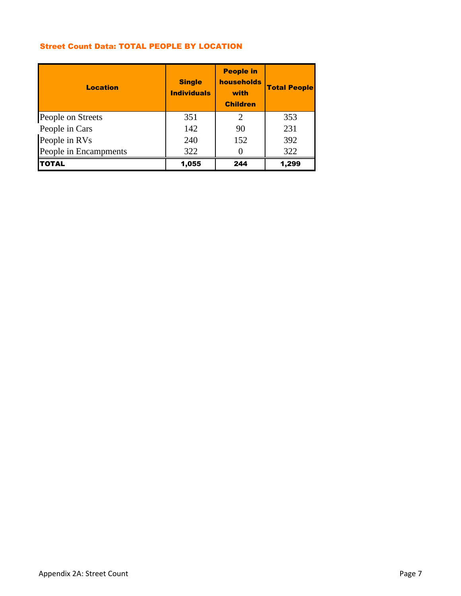## Street Count Data: TOTAL PEOPLE BY LOCATION

| <b>Location</b>       | <b>Single</b><br><b>Individuals</b> | <b>People in</b><br>households<br>with<br><b>Children</b> | <b>Total People</b> |
|-----------------------|-------------------------------------|-----------------------------------------------------------|---------------------|
| People on Streets     | 351                                 | 2                                                         | 353                 |
| People in Cars        | 142                                 | 90                                                        | 231                 |
| People in RVs         | 240                                 | 152                                                       | 392                 |
| People in Encampments | 322                                 |                                                           | 322                 |
| <b>TOTAL</b>          | 1,055                               | 244                                                       | 1,299               |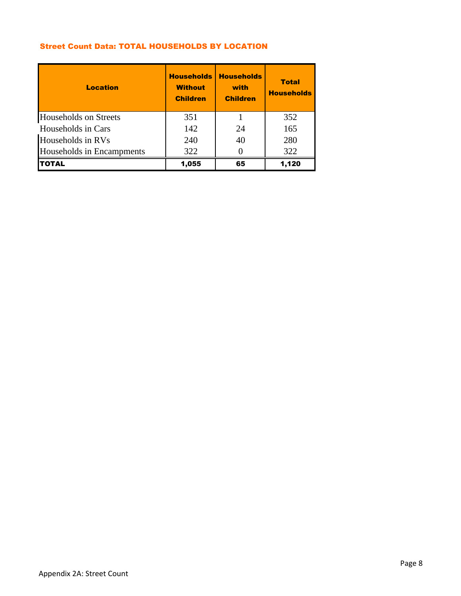#### Street Count Data: TOTAL HOUSEHOLDS BY LOCATION

| <b>Location</b>           | <b>Households</b><br><b>Without</b><br><b>Children</b> | <b>Households</b><br>with<br><b>Children</b> | <b>Total</b><br><b>Households</b> |  |
|---------------------------|--------------------------------------------------------|----------------------------------------------|-----------------------------------|--|
| Households on Streets     | 351                                                    |                                              | 352                               |  |
| Households in Cars        | 142                                                    | 24                                           | 165                               |  |
| Households in RVs         | 240                                                    | 40                                           | 280                               |  |
| Households in Encampments | 322                                                    |                                              | 322                               |  |
| <b>TOTAL</b>              | 1,055                                                  | 65                                           | 1,120                             |  |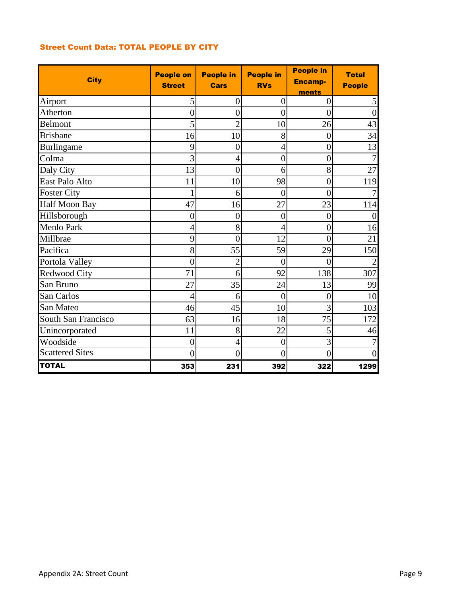## Street Count Data: TOTAL PEOPLE BY CITY

| <b>City</b>            | <b>People on</b><br><b>Street</b> | <b>People in</b><br><b>Cars</b> | <b>People in</b><br><b>RVs</b> | <b>People in</b><br><b>Encamp-</b><br>ments | <b>Total</b><br><b>People</b> |
|------------------------|-----------------------------------|---------------------------------|--------------------------------|---------------------------------------------|-------------------------------|
| Airport                | $\overline{5}$                    | $\overline{0}$                  | $\overline{0}$                 | $\overline{0}$                              | 5                             |
| Atherton               | $\overline{0}$                    | $\overline{0}$                  | $\overline{0}$                 | $\overline{0}$                              | $\overline{0}$                |
| Belmont                | 5                                 | $\overline{2}$                  | 10                             | 26                                          | 43                            |
| <b>Brisbane</b>        | 16                                | 10                              | 8                              | $\overline{0}$                              | 34                            |
| Burlingame             | 9                                 | $\overline{0}$                  | $\overline{4}$                 | $\overline{0}$                              | 13                            |
| Colma                  | 3                                 | 4                               | $\boldsymbol{0}$               | $\boldsymbol{0}$                            | 7                             |
| Daly City              | 13                                | $\overline{0}$                  | 6                              | 8                                           | 27                            |
| East Palo Alto         | 11                                | 10                              | 98                             | $\overline{0}$                              | 119                           |
| <b>Foster City</b>     |                                   | 6                               | $\theta$                       | $\theta$                                    |                               |
| <b>Half Moon Bay</b>   | 47                                | 16                              | 27                             | 23                                          | 114                           |
| Hillsborough           | $\overline{0}$                    | $\overline{0}$                  | $\overline{0}$                 | $\overline{0}$                              | $\boldsymbol{0}$              |
| <b>Menlo Park</b>      | $\overline{4}$                    | 8                               | 4                              | $\overline{0}$                              | 16                            |
| Millbrae               | 9                                 | $\overline{0}$                  | 12                             | $\overline{0}$                              | 21                            |
| Pacifica               | 8                                 | 55                              | 59                             | 29                                          | 150                           |
| Portola Valley         | $\boldsymbol{0}$                  | $\overline{2}$                  | $\overline{0}$                 | $\overline{0}$                              | $\overline{c}$                |
| <b>Redwood City</b>    | 71                                | 6                               | 92                             | 138                                         | 307                           |
| San Bruno              | 27                                | 35                              | 24                             | 13                                          | 99                            |
| San Carlos             | $\overline{4}$                    | 6                               | $\overline{0}$                 | $\overline{0}$                              | 10                            |
| San Mateo              | 46                                | 45                              | 10                             | 3                                           | 103                           |
| South San Francisco    | 63                                | 16                              | 18                             | 75                                          | 172                           |
| Unincorporated         | 11                                | 8                               | 22                             | 5                                           | 46                            |
| Woodside               | $\overline{0}$                    | $\overline{4}$                  | $\overline{0}$                 | 3                                           | 7                             |
| <b>Scattered Sites</b> | $\overline{0}$                    | $\overline{0}$                  | $\overline{0}$                 | $\overline{0}$                              | $\overline{0}$                |
| <b>TOTAL</b>           | 353                               | 231                             | 392                            | 322                                         | 1299                          |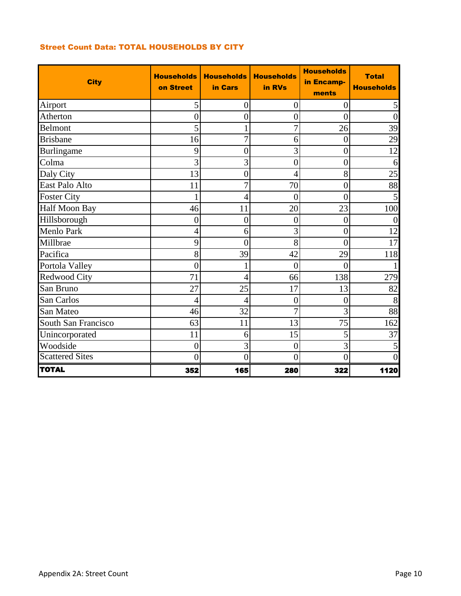## Street Count Data: TOTAL HOUSEHOLDS BY CITY

| <b>City</b>            | <b>Households</b><br>on Street | <b>Households</b><br>in Cars | <b>Households</b><br>in RVs | <b>Households</b><br>in Encamp-<br>ments | <b>Total</b><br><b>Households</b> |
|------------------------|--------------------------------|------------------------------|-----------------------------|------------------------------------------|-----------------------------------|
| Airport                | 5                              | $\overline{0}$               | $\overline{0}$              | $\overline{0}$                           | 5                                 |
| <b>Atherton</b>        | $\overline{0}$                 | $\overline{0}$               | $\overline{0}$              | $\overline{0}$                           | $\overline{0}$                    |
| Belmont                | 5                              |                              |                             | 26                                       | 39                                |
| <b>Brisbane</b>        | 16                             | $\overline{7}$               | 6                           | $\overline{0}$                           | 29                                |
| <b>Burlingame</b>      | 9                              | 0                            | 3                           | $\overline{0}$                           | 12                                |
| Colma                  | 3                              | 3                            | $\overline{0}$              | 0                                        | 6                                 |
| Daly City              | 13                             | 0                            | 4                           | 8                                        | 25                                |
| East Palo Alto         | 11                             | 7                            | 70                          | $\boldsymbol{0}$                         | 88                                |
| <b>Foster City</b>     |                                | 4                            | $\overline{0}$              | $\overline{0}$                           | 5                                 |
| Half Moon Bay          | 46                             | 11                           | 20                          | 23                                       | 100                               |
| Hillsborough           | $\overline{0}$                 | $\overline{0}$               | $\overline{0}$              | $\overline{0}$                           |                                   |
| Menlo Park             | $\overline{4}$                 | 6                            | $\overline{3}$              | $\overline{0}$                           | 12                                |
| Millbrae               | 9                              | $\theta$                     | 8                           | 0                                        | 17                                |
| Pacifica               | 8                              | 39                           | 42                          | 29                                       | 118                               |
| Portola Valley         | $\overline{0}$                 |                              | $\overline{0}$              | $\overline{0}$                           |                                   |
| Redwood City           | 71                             | 4                            | 66                          | 138                                      | 279                               |
| San Bruno              | 27                             | 25                           | 17                          | 13                                       | 82                                |
| San Carlos             | $\overline{\mathcal{A}}$       | 4                            | $\overline{0}$              | $\overline{0}$                           | 8                                 |
| San Mateo              | 46                             | 32                           | $\overline{7}$              | 3                                        | 88                                |
| South San Francisco    | 63                             | 11                           | 13                          | 75                                       | 162                               |
| Unincorporated         | 11                             | 6                            | 15                          | 5                                        | 37                                |
| Woodside               | $\overline{0}$                 | 3                            | $\overline{0}$              | 3                                        | 5                                 |
| <b>Scattered Sites</b> | $\theta$                       | $\overline{0}$               | $\overline{0}$              | $\overline{0}$                           | $\theta$                          |
| <b>TOTAL</b>           | 352                            | 165                          | 280                         | 322                                      | 1120                              |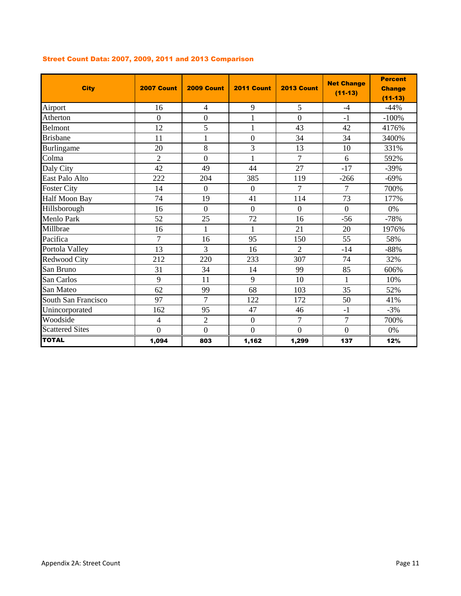| <b>City</b>            | 2007 Count     | <b>2009 Count</b> | <b>2011 Count</b> | <b>2013 Count</b> | <b>Net Change</b><br>$(11-13)$ | <b>Percent</b><br><b>Change</b><br>$(11-13)$ |
|------------------------|----------------|-------------------|-------------------|-------------------|--------------------------------|----------------------------------------------|
| Airport                | 16             | $\overline{4}$    | 9                 | 5                 | $-4$                           | $-44%$                                       |
| Atherton               | $\overline{0}$ | $\overline{0}$    | $\mathbf{1}$      | $\overline{0}$    | $-1$                           | $-100%$                                      |
| <b>Belmont</b>         | 12             | 5                 | $\mathbf{1}$      | 43                | 42                             | 4176%                                        |
| <b>Brisbane</b>        | 11             | 1                 | $\boldsymbol{0}$  | 34                | 34                             | 3400%                                        |
| Burlingame             | 20             | 8                 | 3                 | 13                | 10                             | 331%                                         |
| Colma                  | $\overline{2}$ | $\boldsymbol{0}$  | $\mathbf{1}$      | $\overline{7}$    | 6                              | 592%                                         |
| Daly City              | 42             | 49                | 44                | 27                | $-17$                          | $-39%$                                       |
| East Palo Alto         | 222            | 204               | 385               | 119               | $-266$                         | $-69%$                                       |
| <b>Foster City</b>     | 14             | $\boldsymbol{0}$  | $\boldsymbol{0}$  | 7                 | $\overline{7}$                 | 700%                                         |
| <b>Half Moon Bay</b>   | 74             | 19                | 41                | 114               | 73                             | 177%                                         |
| Hillsborough           | 16             | $\overline{0}$    | $\boldsymbol{0}$  | $\boldsymbol{0}$  | $\overline{0}$                 | 0%                                           |
| <b>Menlo Park</b>      | 52             | 25                | 72                | 16                | $-56$                          | $-78%$                                       |
| Millbrae               | 16             | 1                 | $\mathbf{1}$      | 21                | 20                             | 1976%                                        |
| Pacifica               | 7              | 16                | 95                | 150               | 55                             | 58%                                          |
| Portola Valley         | 13             | 3                 | 16                | $\overline{2}$    | $-14$                          | $-88%$                                       |
| Redwood City           | 212            | 220               | 233               | 307               | 74                             | 32%                                          |
| San Bruno              | 31             | 34                | 14                | 99                | 85                             | 606%                                         |
| San Carlos             | 9              | 11                | 9                 | 10                | $\mathbf{1}$                   | 10%                                          |
| San Mateo              | 62             | 99                | 68                | 103               | 35                             | 52%                                          |
| South San Francisco    | 97             | $\overline{7}$    | 122               | 172               | 50                             | 41%                                          |
| Unincorporated         | 162            | 95                | 47                | 46                | $-1$                           | $-3%$                                        |
| Woodside               | $\overline{4}$ | $\overline{2}$    | $\boldsymbol{0}$  | $\overline{7}$    | $\overline{7}$                 | 700%                                         |
| <b>Scattered Sites</b> | $\overline{0}$ | $\overline{0}$    | $\overline{0}$    | $\overline{0}$    | $\overline{0}$                 | 0%                                           |
| <b>TOTAL</b>           | 1,094          | 803               | 1,162             | 1,299             | 137                            | 12%                                          |

## Street Count Data: 2007, 2009, 2011 and 2013 Comparison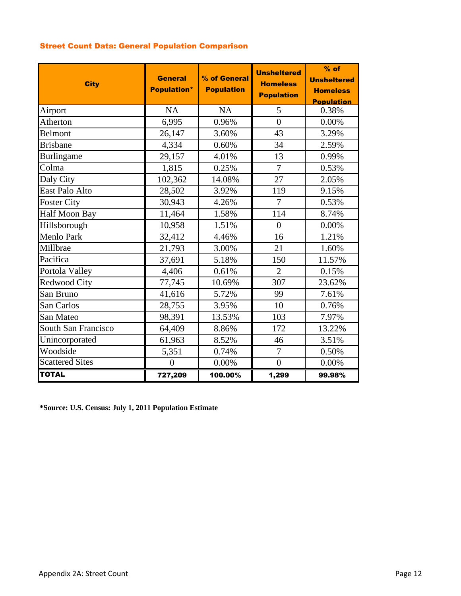## Street Count Data: General Population Comparison

| <b>City</b>            | <b>General</b><br><b>Population*</b> | % of General<br><b>Population</b> | <b>Unsheltered</b><br><b>Homeless</b><br><b>Population</b> | $%$ of<br><b>Unsheltered</b><br><b>Homeless</b><br><b>Population</b> |
|------------------------|--------------------------------------|-----------------------------------|------------------------------------------------------------|----------------------------------------------------------------------|
| Airport                | <b>NA</b>                            | <b>NA</b>                         | 5                                                          | 0.38%                                                                |
| Atherton               | 6,995                                | 0.96%                             | $\overline{0}$                                             | 0.00%                                                                |
| Belmont                | 26,147                               | 3.60%                             | 43                                                         | 3.29%                                                                |
| <b>Brisbane</b>        | 4,334                                | 0.60%                             | 34                                                         | 2.59%                                                                |
| Burlingame             | 29,157                               | 4.01%                             | 13                                                         | 0.99%                                                                |
| Colma                  | 1,815                                | 0.25%                             | $\overline{7}$                                             | 0.53%                                                                |
| Daly City              | 102,362                              | 14.08%                            | 27                                                         | 2.05%                                                                |
| East Palo Alto         | 28,502                               | 3.92%                             | 119                                                        | 9.15%                                                                |
| <b>Foster City</b>     | 30,943                               | 4.26%                             | $\overline{7}$                                             | 0.53%                                                                |
| Half Moon Bay          | 11,464                               | 1.58%                             | 114                                                        | 8.74%                                                                |
| Hillsborough           | 10,958                               | 1.51%                             | $\overline{0}$                                             | 0.00%                                                                |
| <b>Menlo Park</b>      | 32,412                               | 4.46%                             | 16                                                         | 1.21%                                                                |
| Millbrae               | 21,793                               | 3.00%                             | 21                                                         | 1.60%                                                                |
| Pacifica               | 37,691                               | 5.18%                             | 150                                                        | 11.57%                                                               |
| Portola Valley         | 4,406                                | 0.61%                             | $\overline{2}$                                             | 0.15%                                                                |
| Redwood City           | 77,745                               | 10.69%                            | 307                                                        | 23.62%                                                               |
| San Bruno              | 41,616                               | 5.72%                             | 99                                                         | 7.61%                                                                |
| San Carlos             | 28,755                               | 3.95%                             | 10                                                         | 0.76%                                                                |
| San Mateo              | 98,391                               | 13.53%                            | 103                                                        | 7.97%                                                                |
| South San Francisco    | 64,409                               | 8.86%                             | 172                                                        | 13.22%                                                               |
| Unincorporated         | 61,963                               | 8.52%                             | 46                                                         | 3.51%                                                                |
| Woodside               | 5,351                                | 0.74%                             | 7                                                          | 0.50%                                                                |
| <b>Scattered Sites</b> | $\overline{0}$                       | 0.00%                             | $\overline{0}$                                             | 0.00%                                                                |
| <b>TOTAL</b>           | 727,209                              | 100.00%                           | 1,299                                                      | 99.98%                                                               |

**\*Source: U.S. Census: July 1, 2011 Population Estimate**